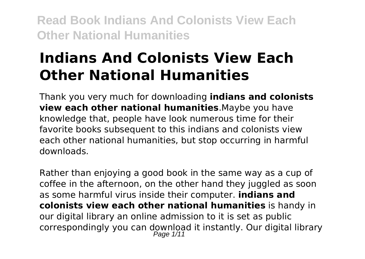# **Indians And Colonists View Each Other National Humanities**

Thank you very much for downloading **indians and colonists view each other national humanities**.Maybe you have knowledge that, people have look numerous time for their favorite books subsequent to this indians and colonists view each other national humanities, but stop occurring in harmful downloads.

Rather than enjoying a good book in the same way as a cup of coffee in the afternoon, on the other hand they juggled as soon as some harmful virus inside their computer. **indians and colonists view each other national humanities** is handy in our digital library an online admission to it is set as public correspondingly you can download it instantly. Our digital library Page  $1/11$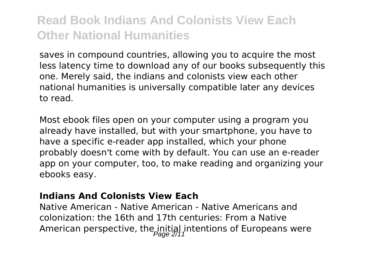saves in compound countries, allowing you to acquire the most less latency time to download any of our books subsequently this one. Merely said, the indians and colonists view each other national humanities is universally compatible later any devices to read.

Most ebook files open on your computer using a program you already have installed, but with your smartphone, you have to have a specific e-reader app installed, which your phone probably doesn't come with by default. You can use an e-reader app on your computer, too, to make reading and organizing your ebooks easy.

#### **Indians And Colonists View Each**

Native American - Native American - Native Americans and colonization: the 16th and 17th centuries: From a Native American perspective, the initial intentions of Europeans were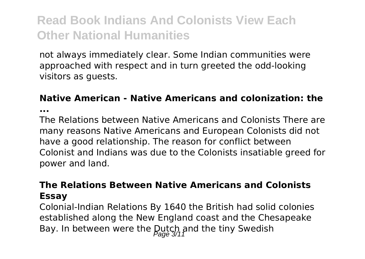not always immediately clear. Some Indian communities were approached with respect and in turn greeted the odd-looking visitors as guests.

#### **Native American - Native Americans and colonization: the**

**...**

The Relations between Native Americans and Colonists There are many reasons Native Americans and European Colonists did not have a good relationship. The reason for conflict between Colonist and Indians was due to the Colonists insatiable greed for power and land.

#### **The Relations Between Native Americans and Colonists Essay**

Colonial-Indian Relations By 1640 the British had solid colonies established along the New England coast and the Chesapeake Bay. In between were the Dutch and the tiny Swedish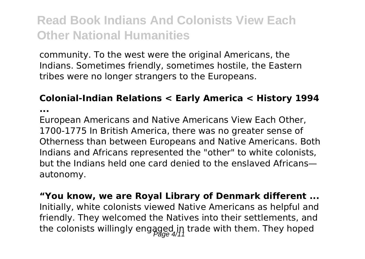community. To the west were the original Americans, the Indians. Sometimes friendly, sometimes hostile, the Eastern tribes were no longer strangers to the Europeans.

### **Colonial-Indian Relations < Early America < History 1994**

**...**

European Americans and Native Americans View Each Other, 1700-1775 In British America, there was no greater sense of Otherness than between Europeans and Native Americans. Both Indians and Africans represented the "other" to white colonists, but the Indians held one card denied to the enslaved Africans autonomy.

**"You know, we are Royal Library of Denmark different ...** Initially, white colonists viewed Native Americans as helpful and friendly. They welcomed the Natives into their settlements, and the colonists willingly engaged in trade with them. They hoped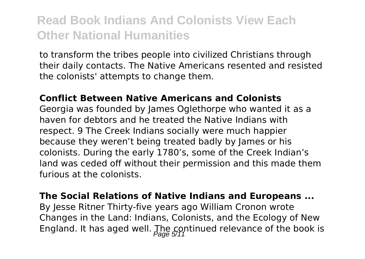to transform the tribes people into civilized Christians through their daily contacts. The Native Americans resented and resisted the colonists' attempts to change them.

#### **Conflict Between Native Americans and Colonists**

Georgia was founded by James Oglethorpe who wanted it as a haven for debtors and he treated the Native Indians with respect. 9 The Creek Indians socially were much happier because they weren't being treated badly by James or his colonists. During the early 1780's, some of the Creek Indian's land was ceded off without their permission and this made them furious at the colonists.

### **The Social Relations of Native Indians and Europeans ...**

By Jesse Ritner Thirty-five years ago William Cronon wrote Changes in the Land: Indians, Colonists, and the Ecology of New England. It has aged well. The continued relevance of the book is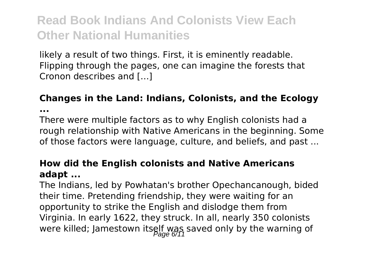likely a result of two things. First, it is eminently readable. Flipping through the pages, one can imagine the forests that Cronon describes and […]

## **Changes in the Land: Indians, Colonists, and the Ecology**

**...**

There were multiple factors as to why English colonists had a rough relationship with Native Americans in the beginning. Some of those factors were language, culture, and beliefs, and past ...

#### **How did the English colonists and Native Americans adapt ...**

The Indians, led by Powhatan's brother Opechancanough, bided their time. Pretending friendship, they were waiting for an opportunity to strike the English and dislodge them from Virginia. In early 1622, they struck. In all, nearly 350 colonists were killed; Jamestown itself was saved only by the warning of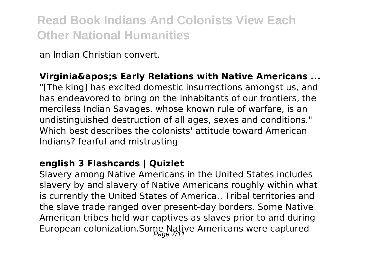an Indian Christian convert.

#### **Virginia's Early Relations with Native Americans ...**

"[The king] has excited domestic insurrections amongst us, and has endeavored to bring on the inhabitants of our frontiers, the merciless Indian Savages, whose known rule of warfare, is an undistinguished destruction of all ages, sexes and conditions." Which best describes the colonists' attitude toward American Indians? fearful and mistrusting

#### **english 3 Flashcards | Quizlet**

Slavery among Native Americans in the United States includes slavery by and slavery of Native Americans roughly within what is currently the United States of America.. Tribal territories and the slave trade ranged over present-day borders. Some Native American tribes held war captives as slaves prior to and during European colonization.Some Native Americans were captured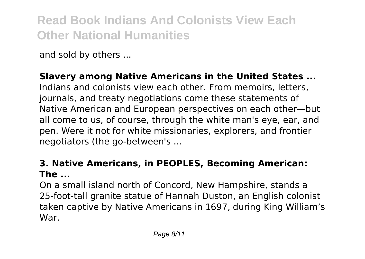and sold by others ...

#### **Slavery among Native Americans in the United States ...**

Indians and colonists view each other. From memoirs, letters, journals, and treaty negotiations come these statements of Native American and European perspectives on each other—but all come to us, of course, through the white man's eye, ear, and pen. Were it not for white missionaries, explorers, and frontier negotiators (the go-between's ...

#### **3. Native Americans, in PEOPLES, Becoming American: The ...**

On a small island north of Concord, New Hampshire, stands a 25-foot-tall granite statue of Hannah Duston, an English colonist taken captive by Native Americans in 1697, during King William's War.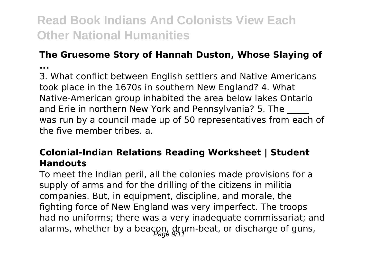### **The Gruesome Story of Hannah Duston, Whose Slaying of**

**...**

3. What conflict between English settlers and Native Americans took place in the 1670s in southern New England? 4. What Native-American group inhabited the area below lakes Ontario and Erie in northern New York and Pennsylvania? 5. The was run by a council made up of 50 representatives from each of the five member tribes. a.

#### **Colonial-Indian Relations Reading Worksheet | Student Handouts**

To meet the Indian peril, all the colonies made provisions for a supply of arms and for the drilling of the citizens in militia companies. But, in equipment, discipline, and morale, the fighting force of New England was very imperfect. The troops had no uniforms; there was a very inadequate commissariat; and alarms, whether by a beacon, drum-beat, or discharge of guns,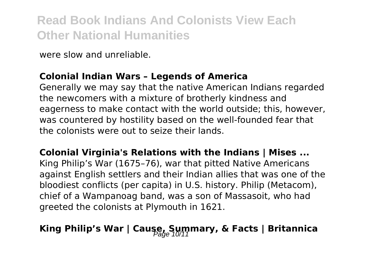were slow and unreliable.

#### **Colonial Indian Wars – Legends of America**

Generally we may say that the native American Indians regarded the newcomers with a mixture of brotherly kindness and eagerness to make contact with the world outside; this, however, was countered by hostility based on the well-founded fear that the colonists were out to seize their lands.

**Colonial Virginia's Relations with the Indians | Mises ...** King Philip's War (1675–76), war that pitted Native Americans against English settlers and their Indian allies that was one of the bloodiest conflicts (per capita) in U.S. history. Philip (Metacom), chief of a Wampanoag band, was a son of Massasoit, who had greeted the colonists at Plymouth in 1621.

### King Philip's War | Cause, Summary, & Facts | Britannica